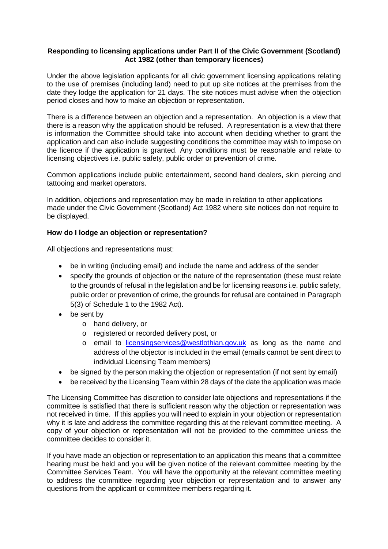## **Responding to licensing applications under Part II of the Civic Government (Scotland) Act 1982 (other than temporary licences)**

Under the above legislation applicants for all civic government licensing applications relating to the use of premises (including land) need to put up site notices at the premises from the date they lodge the application for 21 days. The site notices must advise when the objection period closes and how to make an objection or representation.

There is a difference between an objection and a representation. An objection is a view that there is a reason why the application should be refused. A representation is a view that there is information the Committee should take into account when deciding whether to grant the application and can also include suggesting conditions the committee may wish to impose on the licence if the application is granted. Any conditions must be reasonable and relate to licensing objectives i.e. public safety, public order or prevention of crime.

Common applications include public entertainment, second hand dealers, skin piercing and tattooing and market operators.

In addition, objections and representation may be made in relation to other applications made under the Civic Government (Scotland) Act 1982 where site notices don not require to be displayed.

## **How do I lodge an objection or representation?**

All objections and representations must:

- be in writing (including email) and include the name and address of the sender
- specify the grounds of objection or the nature of the representation (these must relate to the grounds of refusal in the legislation and be for licensing reasons i.e. public safety, public order or prevention of crime, the grounds for refusal are contained in Paragraph 5(3) of Schedule 1 to the 1982 Act).
- be sent by
	- o hand delivery, or
	- o registered or recorded delivery post, or
	- o email to [licensingservices@westlothian.gov.uk](mailto:licensingservices@westlothian.gov.uk) as long as the name and address of the objector is included in the email (emails cannot be sent direct to individual Licensing Team members)
- be signed by the person making the objection or representation (if not sent by email)
- be received by the Licensing Team within 28 days of the date the application was made

The Licensing Committee has discretion to consider late objections and representations if the committee is satisfied that there is sufficient reason why the objection or representation was not received in time. If this applies you will need to explain in your objection or representation why it is late and address the committee regarding this at the relevant committee meeting. A copy of your objection or representation will not be provided to the committee unless the committee decides to consider it.

If you have made an objection or representation to an application this means that a committee hearing must be held and you will be given notice of the relevant committee meeting by the Committee Services Team. You will have the opportunity at the relevant committee meeting to address the committee regarding your objection or representation and to answer any questions from the applicant or committee members regarding it.